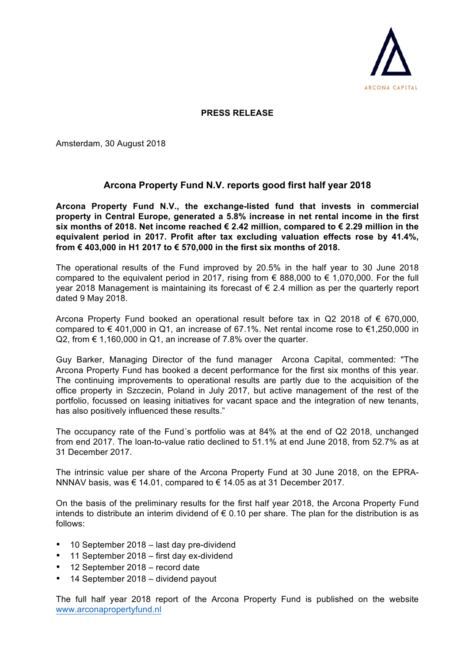

## **PRESS RELEASE**

Amsterdam, 30 August 2018

## **Arcona Property Fund N.V. reports good first half year 2018**

**Arcona Property Fund N.V., the exchange-listed fund that invests in commercial property in Central Europe, generated a 5.8% increase in net rental income in the first six months of 2018. Net income reached € 2.42 million, compared to € 2.29 million in the equivalent period in 2017. Profit after tax excluding valuation effects rose by 41.4%, from € 403,000 in H1 2017 to € 570,000 in the first six months of 2018.**

The operational results of the Fund improved by 20.5% in the half year to 30 June 2018 compared to the equivalent period in 2017, rising from  $\epsilon$  888,000 to  $\epsilon$  1,070,000. For the full year 2018 Management is maintaining its forecast of € 2.4 million as per the quarterly report dated 9 May 2018.

Arcona Property Fund booked an operational result before tax in Q2 2018 of  $\epsilon$  670,000, compared to  $\epsilon$  401,000 in Q1, an increase of 67.1%. Net rental income rose to  $\epsilon$ 1,250,000 in Q2, from  $\epsilon$  1,160,000 in Q1, an increase of 7.8% over the quarter.

Guy Barker, Managing Director of the fund manager Arcona Capital, commented: "The Arcona Property Fund has booked a decent performance for the first six months of this year. The continuing improvements to operational results are partly due to the acquisition of the office property in Szczecin, Poland in July 2017, but active management of the rest of the portfolio, focussed on leasing initiatives for vacant space and the integration of new tenants, has also positively influenced these results."

The occupancy rate of the Fund´s portfolio was at 84% at the end of Q2 2018, unchanged from end 2017. The loan-to-value ratio declined to 51.1% at end June 2018, from 52.7% as at 31 December 2017.

The intrinsic value per share of the Arcona Property Fund at 30 June 2018, on the EPRA-NNNAV basis, was  $\in$  14.01, compared to  $\in$  14.05 as at 31 December 2017.

On the basis of the preliminary results for the first half year 2018, the Arcona Property Fund intends to distribute an interim dividend of  $\epsilon$  0.10 per share. The plan for the distribution is as follows:

- 10 September 2018 last day pre-dividend
- 11 September 2018 first day ex-dividend
- 12 September 2018 record date
- 14 September 2018 dividend payout

The full half year 2018 report of the Arcona Property Fund is published on the website www.arconapropertyfund.nl